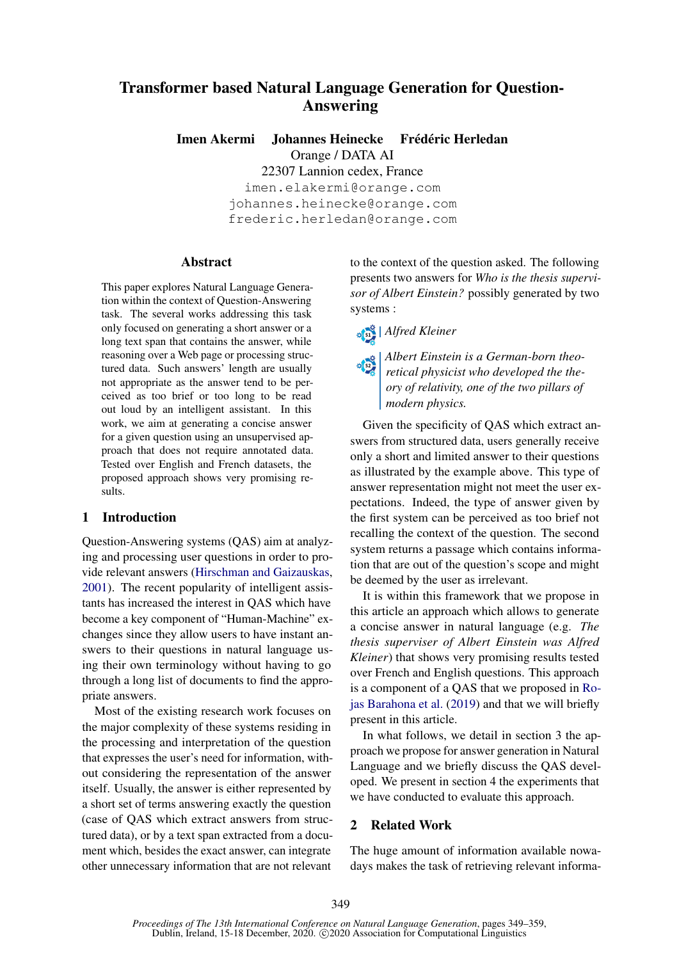# Transformer based Natural Language Generation for Question-Answering

Imen Akermi Johannes Heinecke Frédéric Herledan

Orange / DATA AI

22307 Lannion cedex, France imen.elakermi@orange.com johannes.heinecke@orange.com frederic.herledan@orange.com

#### Abstract

This paper explores Natural Language Generation within the context of Question-Answering task. The several works addressing this task only focused on generating a short answer or a long text span that contains the answer, while reasoning over a Web page or processing structured data. Such answers' length are usually not appropriate as the answer tend to be perceived as too brief or too long to be read out loud by an intelligent assistant. In this work, we aim at generating a concise answer for a given question using an unsupervised approach that does not require annotated data. Tested over English and French datasets, the proposed approach shows very promising results.

# 1 Introduction

Question-Answering systems (QAS) aim at analyzing and processing user questions in order to provide relevant answers [\(Hirschman and Gaizauskas,](#page-9-0) [2001\)](#page-9-0). The recent popularity of intelligent assistants has increased the interest in QAS which have become a key component of "Human-Machine" exchanges since they allow users to have instant answers to their questions in natural language using their own terminology without having to go through a long list of documents to find the appropriate answers.

Most of the existing research work focuses on the major complexity of these systems residing in the processing and interpretation of the question that expresses the user's need for information, without considering the representation of the answer itself. Usually, the answer is either represented by a short set of terms answering exactly the question (case of QAS which extract answers from structured data), or by a text span extracted from a document which, besides the exact answer, can integrate other unnecessary information that are not relevant

to the context of the question asked. The following presents two answers for *Who is the thesis supervisor of Albert Einstein?* possibly generated by two systems :

*Alfred Kleiner*

*Albert Einstein is a German-born theo-*<br>*retical physicial retical physicist who developed the theory of relativity, one of the two pillars of modern physics.*

Given the specificity of QAS which extract answers from structured data, users generally receive only a short and limited answer to their questions as illustrated by the example above. This type of answer representation might not meet the user expectations. Indeed, the type of answer given by the first system can be perceived as too brief not recalling the context of the question. The second system returns a passage which contains information that are out of the question's scope and might be deemed by the user as irrelevant.

It is within this framework that we propose in this article an approach which allows to generate a concise answer in natural language (e.g. *The thesis superviser of Albert Einstein was Alfred Kleiner*) that shows very promising results tested over French and English questions. This approach is a component of a QAS that we proposed in [Ro](#page-10-0)[jas Barahona et al.](#page-10-0) [\(2019\)](#page-10-0) and that we will briefly present in this article.

In what follows, we detail in section 3 the approach we propose for answer generation in Natural Language and we briefly discuss the QAS developed. We present in section 4 the experiments that we have conducted to evaluate this approach.

# 2 Related Work

The huge amount of information available nowadays makes the task of retrieving relevant informa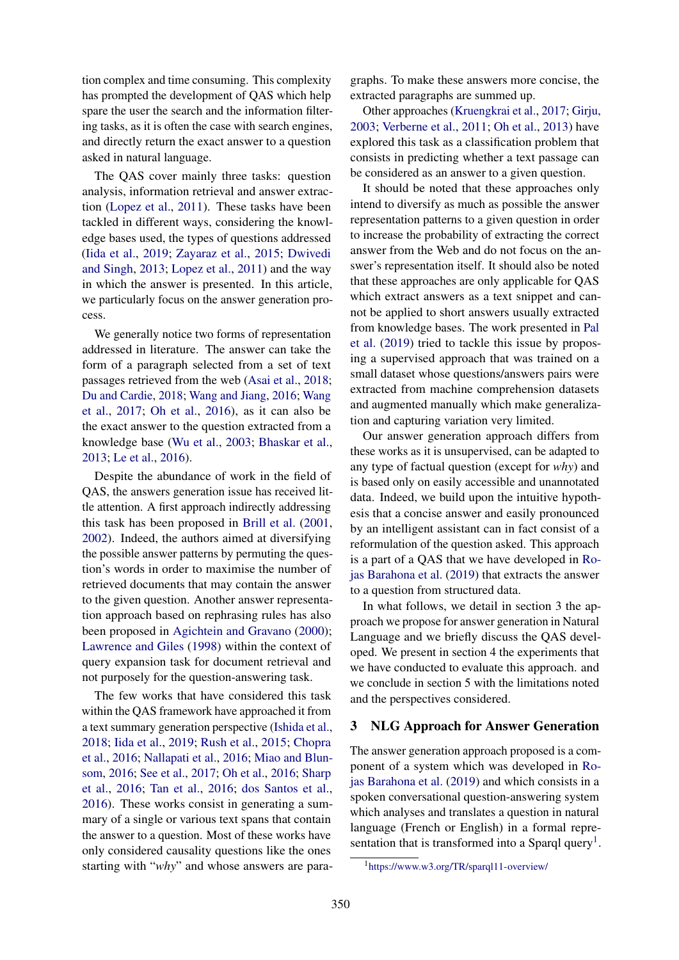tion complex and time consuming. This complexity has prompted the development of QAS which help spare the user the search and the information filtering tasks, as it is often the case with search engines, and directly return the exact answer to a question asked in natural language.

The QAS cover mainly three tasks: question analysis, information retrieval and answer extraction [\(Lopez et al.,](#page-9-1) [2011\)](#page-9-1). These tasks have been tackled in different ways, considering the knowledge bases used, the types of questions addressed [\(Iida et al.,](#page-9-2) [2019;](#page-9-2) [Zayaraz et al.,](#page-10-1) [2015;](#page-10-1) [Dwivedi](#page-9-3) [and Singh,](#page-9-3) [2013;](#page-9-3) [Lopez et al.,](#page-9-1) [2011\)](#page-9-1) and the way in which the answer is presented. In this article, we particularly focus on the answer generation process.

We generally notice two forms of representation addressed in literature. The answer can take the form of a paragraph selected from a set of text passages retrieved from the web [\(Asai et al.,](#page-8-0) [2018;](#page-8-0) [Du and Cardie,](#page-9-4) [2018;](#page-9-4) [Wang and Jiang,](#page-10-2) [2016;](#page-10-2) [Wang](#page-10-3) [et al.,](#page-10-3) [2017;](#page-10-3) [Oh et al.,](#page-10-4) [2016\)](#page-10-4), as it can also be the exact answer to the question extracted from a knowledge base [\(Wu et al.,](#page-10-5) [2003;](#page-10-5) [Bhaskar et al.,](#page-8-1) [2013;](#page-8-1) [Le et al.,](#page-9-5) [2016\)](#page-9-5).

Despite the abundance of work in the field of QAS, the answers generation issue has received little attention. A first approach indirectly addressing this task has been proposed in [Brill et al.](#page-9-6) [\(2001,](#page-9-6) [2002\)](#page-9-7). Indeed, the authors aimed at diversifying the possible answer patterns by permuting the question's words in order to maximise the number of retrieved documents that may contain the answer to the given question. Another answer representation approach based on rephrasing rules has also been proposed in [Agichtein and Gravano](#page-8-2) [\(2000\)](#page-8-2); [Lawrence and Giles](#page-9-8) [\(1998\)](#page-9-8) within the context of query expansion task for document retrieval and not purposely for the question-answering task.

The few works that have considered this task within the QAS framework have approached it from a text summary generation perspective [\(Ishida et al.,](#page-9-9) [2018;](#page-9-9) [Iida et al.,](#page-9-2) [2019;](#page-9-2) [Rush et al.,](#page-10-6) [2015;](#page-10-6) [Chopra](#page-9-10) [et al.,](#page-9-10) [2016;](#page-9-10) [Nallapati et al.,](#page-9-11) [2016;](#page-9-11) [Miao and Blun](#page-9-12)[som,](#page-9-12) [2016;](#page-9-12) [See et al.,](#page-10-7) [2017;](#page-10-7) [Oh et al.,](#page-10-4) [2016;](#page-10-4) [Sharp](#page-10-8) [et al.,](#page-10-8) [2016;](#page-10-8) [Tan et al.,](#page-10-9) [2016;](#page-10-9) [dos Santos et al.,](#page-10-10) [2016\)](#page-10-10). These works consist in generating a summary of a single or various text spans that contain the answer to a question. Most of these works have only considered causality questions like the ones starting with "*why*" and whose answers are para-

graphs. To make these answers more concise, the extracted paragraphs are summed up.

Other approaches [\(Kruengkrai et al.,](#page-9-13) [2017;](#page-9-13) [Girju,](#page-9-14) [2003;](#page-9-14) [Verberne et al.,](#page-10-11) [2011;](#page-10-11) [Oh et al.,](#page-10-12) [2013\)](#page-10-12) have explored this task as a classification problem that consists in predicting whether a text passage can be considered as an answer to a given question.

It should be noted that these approaches only intend to diversify as much as possible the answer representation patterns to a given question in order to increase the probability of extracting the correct answer from the Web and do not focus on the answer's representation itself. It should also be noted that these approaches are only applicable for QAS which extract answers as a text snippet and cannot be applied to short answers usually extracted from knowledge bases. The work presented in [Pal](#page-10-13) [et al.](#page-10-13) [\(2019\)](#page-10-13) tried to tackle this issue by proposing a supervised approach that was trained on a small dataset whose questions/answers pairs were extracted from machine comprehension datasets and augmented manually which make generalization and capturing variation very limited.

Our answer generation approach differs from these works as it is unsupervised, can be adapted to any type of factual question (except for *why*) and is based only on easily accessible and unannotated data. Indeed, we build upon the intuitive hypothesis that a concise answer and easily pronounced by an intelligent assistant can in fact consist of a reformulation of the question asked. This approach is a part of a QAS that we have developed in [Ro](#page-10-0)[jas Barahona et al.](#page-10-0) [\(2019\)](#page-10-0) that extracts the answer to a question from structured data.

In what follows, we detail in section 3 the approach we propose for answer generation in Natural Language and we briefly discuss the QAS developed. We present in section 4 the experiments that we have conducted to evaluate this approach. and we conclude in section 5 with the limitations noted and the perspectives considered.

#### 3 NLG Approach for Answer Generation

The answer generation approach proposed is a component of a system which was developed in [Ro](#page-10-0)[jas Barahona et al.](#page-10-0) [\(2019\)](#page-10-0) and which consists in a spoken conversational question-answering system which analyses and translates a question in natural language (French or English) in a formal repre-sentation that is transformed into a Sparql query<sup>[1](#page-1-0)</sup>.

<span id="page-1-0"></span><sup>1</sup><https://www.w3.org/TR/sparql11-overview/>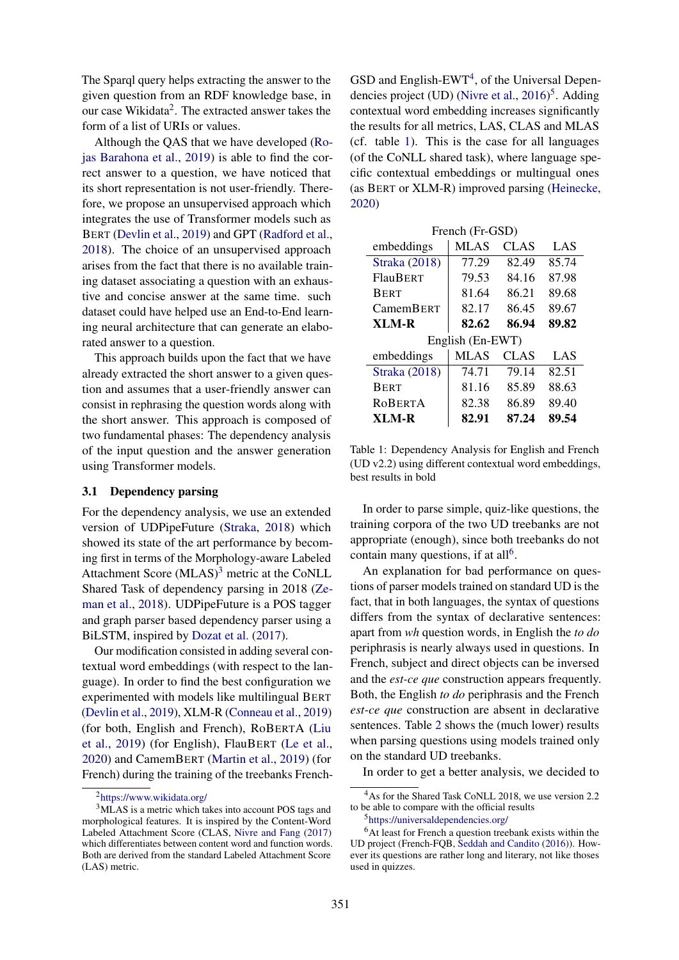The Sparql query helps extracting the answer to the given question from an RDF knowledge base, in our case Wikidata<sup>[2](#page-2-0)</sup>. The extracted answer takes the form of a list of URIs or values.

Although the QAS that we have developed [\(Ro](#page-10-0)[jas Barahona et al.,](#page-10-0) [2019\)](#page-10-0) is able to find the correct answer to a question, we have noticed that its short representation is not user-friendly. Therefore, we propose an unsupervised approach which integrates the use of Transformer models such as BERT [\(Devlin et al.,](#page-9-15) [2019\)](#page-9-15) and GPT [\(Radford et al.,](#page-10-14) [2018\)](#page-10-14). The choice of an unsupervised approach arises from the fact that there is no available training dataset associating a question with an exhaustive and concise answer at the same time. such dataset could have helped use an End-to-End learning neural architecture that can generate an elaborated answer to a question.

This approach builds upon the fact that we have already extracted the short answer to a given question and assumes that a user-friendly answer can consist in rephrasing the question words along with the short answer. This approach is composed of two fundamental phases: The dependency analysis of the input question and the answer generation using Transformer models.

#### 3.1 Dependency parsing

For the dependency analysis, we use an extended version of UDPipeFuture [\(Straka,](#page-10-15) [2018\)](#page-10-15) which showed its state of the art performance by becoming first in terms of the Morphology-aware Labeled Attachment Score (MLAS)<sup>[3](#page-2-1)</sup> metric at the CoNLL Shared Task of dependency parsing in 2018 [\(Ze](#page-10-16)[man et al.,](#page-10-16) [2018\)](#page-10-16). UDPipeFuture is a POS tagger and graph parser based dependency parser using a BiLSTM, inspired by [Dozat et al.](#page-9-16) [\(2017\)](#page-9-16).

Our modification consisted in adding several contextual word embeddings (with respect to the language). In order to find the best configuration we experimented with models like multilingual BERT [\(Devlin et al.,](#page-9-15) [2019\)](#page-9-15), XLM-R [\(Conneau et al.,](#page-9-17) [2019\)](#page-9-17) (for both, English and French), RoBERTA [\(Liu](#page-9-18) [et al.,](#page-9-18) [2019\)](#page-9-18) (for English), FlauBERT [\(Le et al.,](#page-9-19) [2020\)](#page-9-19) and CamemBERT [\(Martin et al.,](#page-9-20) [2019\)](#page-9-20) (for French) during the training of the treebanks French-

 $GSD$  and English-EWT<sup>[4](#page-2-2)</sup>, of the Universal Depen-dencies project (UD) [\(Nivre et al.,](#page-10-17) [2016\)](#page-10-17)<sup>[5](#page-2-3)</sup>. Adding contextual word embedding increases significantly the results for all metrics, LAS, CLAS and MLAS (cf. table [1\)](#page-2-4). This is the case for all languages (of the CoNLL shared task), where language specific contextual embeddings or multingual ones (as BERT or XLM-R) improved parsing [\(Heinecke,](#page-9-22) [2020\)](#page-9-22)

<span id="page-2-4"></span>

| French (Fr-GSD)      |             |       |       |  |  |  |
|----------------------|-------------|-------|-------|--|--|--|
| embeddings           | <b>MLAS</b> | CLAS  | LAS   |  |  |  |
| <b>Straka (2018)</b> | 77.29       | 82.49 | 85.74 |  |  |  |
| FlauBERT             | 79.53       | 84.16 | 87.98 |  |  |  |
| <b>BERT</b>          | 81.64       | 86.21 | 89.68 |  |  |  |
| <b>CamemBERT</b>     | 82.17       | 86.45 | 89.67 |  |  |  |
| <b>XLM-R</b>         | 82.62       | 86.94 | 89.82 |  |  |  |
| English (En-EWT)     |             |       |       |  |  |  |
| embeddings           | <b>MLAS</b> | CLAS  | LAS   |  |  |  |
| Straka (2018)        | 74.71       | 79.14 | 82.51 |  |  |  |
| <b>BERT</b>          | 81.16       | 85.89 | 88.63 |  |  |  |
| <b>ROBERTA</b>       | 82.38       | 86.89 | 89.40 |  |  |  |
| XLM-R                | 82.91       | 87.24 | 89.54 |  |  |  |

Table 1: Dependency Analysis for English and French (UD v2.2) using different contextual word embeddings, best results in bold

In order to parse simple, quiz-like questions, the training corpora of the two UD treebanks are not appropriate (enough), since both treebanks do not contain many questions, if at all $^6$  $^6$ .

An explanation for bad performance on questions of parser models trained on standard UD is the fact, that in both languages, the syntax of questions differs from the syntax of declarative sentences: apart from *wh* question words, in English the *to do* periphrasis is nearly always used in questions. In French, subject and direct objects can be inversed and the *est-ce que* construction appears frequently. Both, the English *to do* periphrasis and the French *est-ce que* construction are absent in declarative sentences. Table [2](#page-3-0) shows the (much lower) results when parsing questions using models trained only on the standard UD treebanks.

In order to get a better analysis, we decided to

<span id="page-2-1"></span><span id="page-2-0"></span><sup>2</sup><https://www.wikidata.org/>

<sup>&</sup>lt;sup>3</sup>MLAS is a metric which takes into account POS tags and morphological features. It is inspired by the Content-Word Labeled Attachment Score (CLAS, [Nivre and Fang](#page-9-21) [\(2017\)](#page-9-21) which differentiates between content word and function words. Both are derived from the standard Labeled Attachment Score (LAS) metric.

<span id="page-2-2"></span><sup>4</sup>As for the Shared Task CoNLL 2018, we use version 2.2 to be able to compare with the official results

<span id="page-2-5"></span><span id="page-2-3"></span><sup>5</sup><https://universaldependencies.org/>

<sup>&</sup>lt;sup>6</sup>At least for French a question treebank exists within the UD project (French-FQB, [Seddah and Candito](#page-10-18) [\(2016\)](#page-10-18)). However its questions are rather long and literary, not like thoses used in quizzes.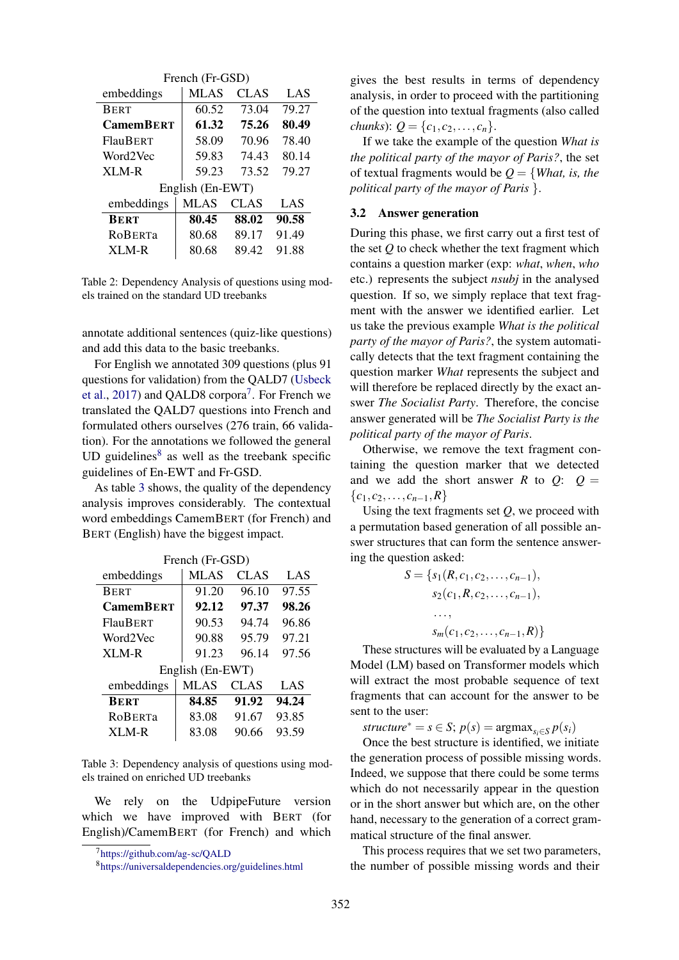<span id="page-3-0"></span>

| French (Fr-GSD)  |                  |       |       |  |  |  |  |
|------------------|------------------|-------|-------|--|--|--|--|
| embeddings       | MLAS             | CLAS  | LAS   |  |  |  |  |
| <b>BERT</b>      | 60.52            | 73.04 | 79.27 |  |  |  |  |
| <b>CamemBERT</b> | 61.32            | 75.26 | 80.49 |  |  |  |  |
| FlauBERT         | 58.09            | 70.96 | 78.40 |  |  |  |  |
| Word2Vec         | 59.83            | 74.43 | 80.14 |  |  |  |  |
| XLM-R            | 59.23            | 73.52 | 79.27 |  |  |  |  |
|                  | English (En-EWT) |       |       |  |  |  |  |
| embeddings       | MLAS             | CLAS  | LAS   |  |  |  |  |
| <b>BERT</b>      | 80.45            | 88.02 | 90.58 |  |  |  |  |
| <b>ROBERTA</b>   | 80.68            | 89.17 | 91.49 |  |  |  |  |
| $XLM-R$          | 80.68            | 89.42 | 91.88 |  |  |  |  |

Table 2: Dependency Analysis of questions using models trained on the standard UD treebanks

annotate additional sentences (quiz-like questions) and add this data to the basic treebanks.

For English we annotated 309 questions (plus 91 questions for validation) from the QALD7 [\(Usbeck](#page-10-19) [et al.,](#page-10-19) [2017\)](#page-10-19) and QALD8 corpora<sup>[7](#page-3-1)</sup>. For French we translated the QALD7 questions into French and formulated others ourselves (276 train, 66 validation). For the annotations we followed the general UD guidelines $8$  as well as the treebank specific guidelines of En-EWT and Fr-GSD.

As table [3](#page-3-3) shows, the quality of the dependency analysis improves considerably. The contextual word embeddings CamemBERT (for French) and BERT (English) have the biggest impact.

 $E$ ronch  $(Er, GSD)$ 

<span id="page-3-3"></span>

| TRIUTH (TTUJU)   |                  |             |       |  |  |  |  |
|------------------|------------------|-------------|-------|--|--|--|--|
| embeddings       | <b>MLAS</b>      | <b>CLAS</b> | LAS   |  |  |  |  |
| <b>BERT</b>      | 91.20            | 96.10       | 97.55 |  |  |  |  |
| <b>CamemBERT</b> | 92.12            | 97.37       | 98.26 |  |  |  |  |
| FlauBERT         | 90.53            | 94.74       | 96.86 |  |  |  |  |
| Word2Vec         | 90.88            | 95.79       | 97.21 |  |  |  |  |
| <b>XLM-R</b>     | 91.23            | 96.14       | 97.56 |  |  |  |  |
|                  | English (En-EWT) |             |       |  |  |  |  |
| embeddings       | <b>MLAS</b>      | CLAS        | LAS   |  |  |  |  |
| <b>BERT</b>      | 84.85            | 91.92       | 94.24 |  |  |  |  |
| <b>ROBERTa</b>   | 83.08            | 91.67       | 93.85 |  |  |  |  |
| XLM-R            | 83.08            | 90.66       | 93.59 |  |  |  |  |
|                  |                  |             |       |  |  |  |  |

Table 3: Dependency analysis of questions using models trained on enriched UD treebanks

We rely on the UdpipeFuture version which we have improved with BERT (for English)/CamemBERT (for French) and which gives the best results in terms of dependency analysis, in order to proceed with the partitioning of the question into textual fragments (also called *chunks*):  $Q = \{c_1, c_2, \ldots, c_n\}.$ 

If we take the example of the question *What is the political party of the mayor of Paris?*, the set of textual fragments would be *Q* = {*What, is, the political party of the mayor of Paris* }.

# 3.2 Answer generation

During this phase, we first carry out a first test of the set *Q* to check whether the text fragment which contains a question marker (exp: *what*, *when*, *who* etc.) represents the subject *nsubj* in the analysed question. If so, we simply replace that text fragment with the answer we identified earlier. Let us take the previous example *What is the political party of the mayor of Paris?*, the system automatically detects that the text fragment containing the question marker *What* represents the subject and will therefore be replaced directly by the exact answer *The Socialist Party*. Therefore, the concise answer generated will be *The Socialist Party is the political party of the mayor of Paris*.

Otherwise, we remove the text fragment containing the question marker that we detected and we add the short answer *R* to  $Q$ :  $Q =$  ${c_1, c_2, \ldots, c_{n-1}, R}$ 

Using the text fragments set *Q*, we proceed with a permutation based generation of all possible answer structures that can form the sentence answering the question asked:

$$
S = \{s_1(R, c_1, c_2, \dots, c_{n-1}),s_2(c_1, R, c_2, \dots, c_{n-1}),\dots,s_m(c_1, c_2, \dots, c_{n-1}, R)\}\
$$

These structures will be evaluated by a Language Model (LM) based on Transformer models which will extract the most probable sequence of text fragments that can account for the answer to be sent to the user:

*structure<sup>\*</sup>* = *s*  $\in$  *S*; *p*(*s*) = argmax<sub>*s*<sub>*i*</sub>∈*Sp*(*s*<sub>*i*</sub>)</sub>

Once the best structure is identified, we initiate the generation process of possible missing words. Indeed, we suppose that there could be some terms which do not necessarily appear in the question or in the short answer but which are, on the other hand, necessary to the generation of a correct grammatical structure of the final answer.

This process requires that we set two parameters, the number of possible missing words and their

<span id="page-3-1"></span><sup>7</sup><https://github.com/ag-sc/QALD>

<span id="page-3-2"></span><sup>8</sup><https://universaldependencies.org/guidelines.html>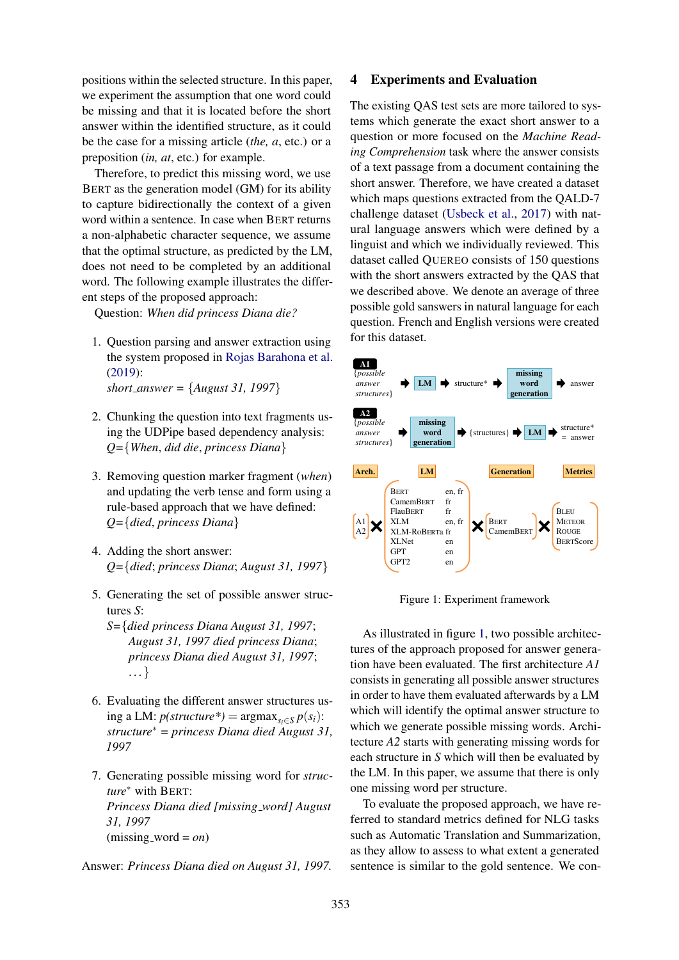positions within the selected structure. In this paper, we experiment the assumption that one word could be missing and that it is located before the short answer within the identified structure, as it could be the case for a missing article (*the, a*, etc.) or a preposition (*in, at*, etc.) for example.

Therefore, to predict this missing word, we use BERT as the generation model (GM) for its ability to capture bidirectionally the context of a given word within a sentence. In case when BERT returns a non-alphabetic character sequence, we assume that the optimal structure, as predicted by the LM, does not need to be completed by an additional word. The following example illustrates the different steps of the proposed approach:

Question: *When did princess Diana die?*

- 1. Question parsing and answer extraction using the system proposed in [Rojas Barahona et al.](#page-10-0) [\(2019\)](#page-10-0): *short answer =* {*August 31, 1997*}
- 2. Chunking the question into text fragments using the UDPipe based dependency analysis: *Q=*{*When*, *did die*, *princess Diana*}
- 3. Removing question marker fragment (*when*) and updating the verb tense and form using a rule-based approach that we have defined: *Q=*{*died*, *princess Diana*}
- 4. Adding the short answer: *Q=*{*died*; *princess Diana*; *August 31, 1997*}
- 5. Generating the set of possible answer structures *S*:
	- *S=*{*died princess Diana August 31, 1997*; . *August 31, 1997 died princess Diana*; . *princess Diana died August 31, 1997*; . . . . }
- 6. Evaluating the different answer structures us- $\text{img } \text{a LM: } p(\text{structure}^*) = \text{argmax}_{s_i \in S} p(s_i)$ : *structure*<sup>∗</sup> = *princess Diana died August 31, 1997*
- 7. Generating possible missing word for *structure*<sup>∗</sup> with BERT: *Princess Diana died [missing word] August 31, 1997*  $(missing-word = on)$

Answer: *Princess Diana died on August 31, 1997.*

#### 4 Experiments and Evaluation

The existing QAS test sets are more tailored to systems which generate the exact short answer to a question or more focused on the *Machine Reading Comprehension* task where the answer consists of a text passage from a document containing the short answer. Therefore, we have created a dataset which maps questions extracted from the QALD-7 challenge dataset [\(Usbeck et al.,](#page-10-19) [2017\)](#page-10-19) with natural language answers which were defined by a linguist and which we individually reviewed. This dataset called QUEREO consists of 150 questions with the short answers extracted by the QAS that we described above. We denote an average of three possible gold sanswers in natural language for each question. French and English versions were created for this dataset.

<span id="page-4-0"></span>

Figure 1: Experiment framework

As illustrated in figure [1,](#page-4-0) two possible architectures of the approach proposed for answer generation have been evaluated. The first architecture *A1* consists in generating all possible answer structures in order to have them evaluated afterwards by a LM which will identify the optimal answer structure to which we generate possible missing words. Architecture *A2* starts with generating missing words for each structure in *S* which will then be evaluated by the LM. In this paper, we assume that there is only one missing word per structure.

To evaluate the proposed approach, we have referred to standard metrics defined for NLG tasks such as Automatic Translation and Summarization, as they allow to assess to what extent a generated sentence is similar to the gold sentence. We con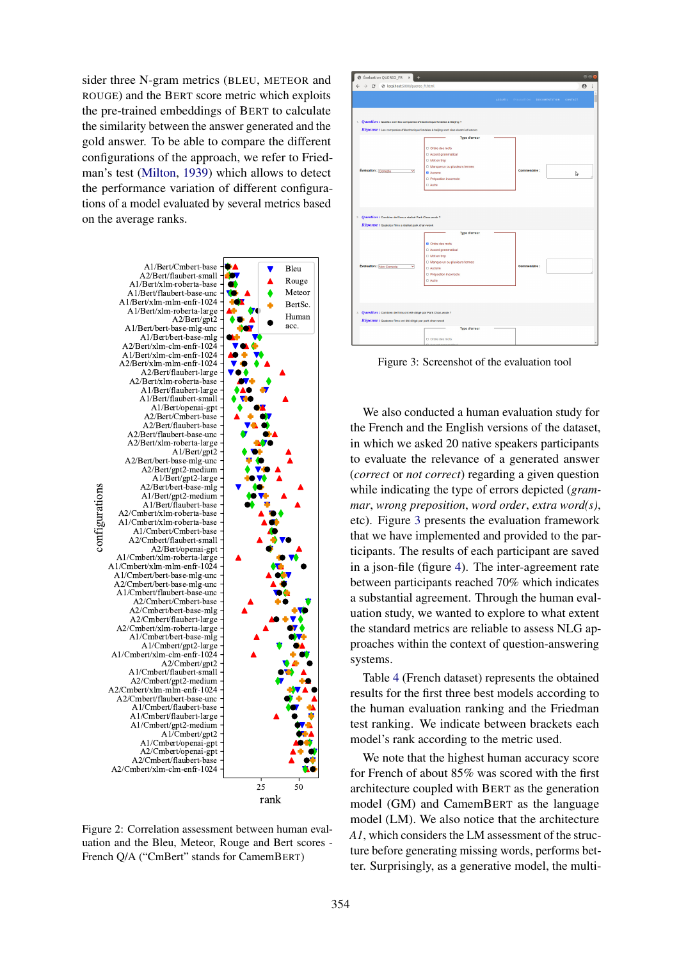sider three N-gram metrics (BLEU, METEOR and ROUGE) and the BERT score metric which exploits the pre-trained embeddings of BERT to calculate the similarity between the answer generated and the gold answer. To be able to compare the different configurations of the approach, we refer to Friedman's test [\(Milton,](#page-9-23) [1939\)](#page-9-23) which allows to detect the performance variation of different configurations of a model evaluated by several metrics based on the average ranks.

<span id="page-5-1"></span>



<span id="page-5-0"></span>

Figure 3: Screenshot of the evaluation tool

We also conducted a human evaluation study for the French and the English versions of the dataset, in which we asked 20 native speakers participants to evaluate the relevance of a generated answer (*correct* or *not correct*) regarding a given question while indicating the type of errors depicted (*grammar*, *wrong preposition*, *word order*, *extra word(s)*, etc). Figure [3](#page-5-0) presents the evaluation framework that we have implemented and provided to the participants. The results of each participant are saved in a json-file (figure [4\)](#page-7-0). The inter-agreement rate between participants reached 70% which indicates a substantial agreement. Through the human evaluation study, we wanted to explore to what extent the standard metrics are reliable to assess NLG approaches within the context of question-answering systems.

Table [4](#page-6-0) (French dataset) represents the obtained results for the first three best models according to the human evaluation ranking and the Friedman test ranking. We indicate between brackets each model's rank according to the metric used.

We note that the highest human accuracy score for French of about 85% was scored with the first architecture coupled with BERT as the generation model (GM) and CamemBERT as the language model (LM). We also notice that the architecture *A1*, which considers the LM assessment of the structure before generating missing words, performs better. Surprisingly, as a generative model, the multi-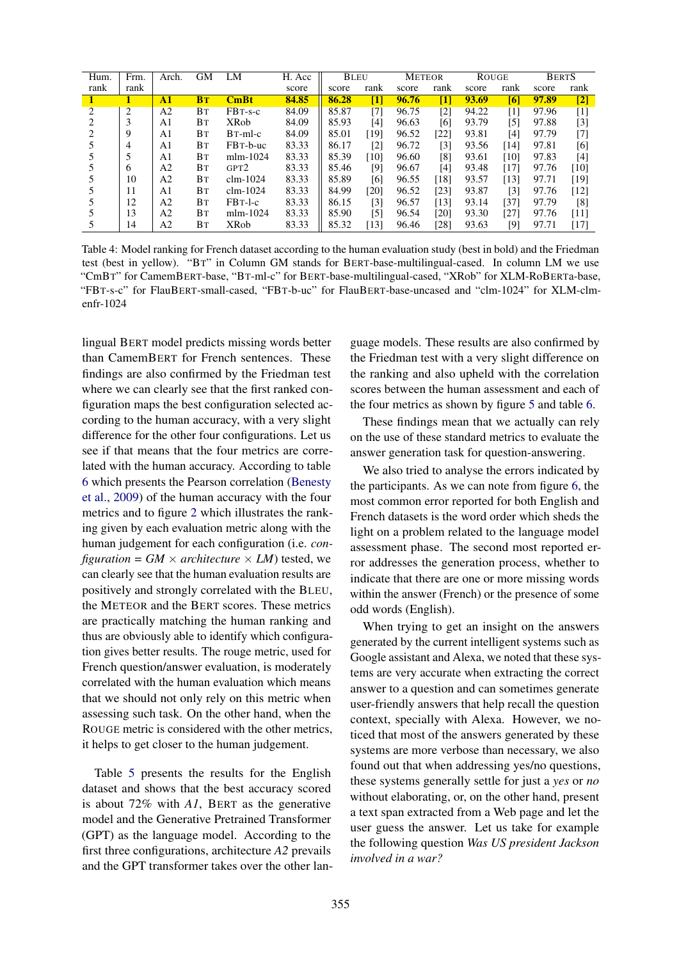<span id="page-6-0"></span>

| Hum. | Frm. | Arch.          | GМ        | LM                   | H. Acc | <b>BLEU</b> |                    | <b>METEOR</b> |               | <b>ROUGE</b> |                   | <b>BERTS</b> |        |
|------|------|----------------|-----------|----------------------|--------|-------------|--------------------|---------------|---------------|--------------|-------------------|--------------|--------|
| rank | rank |                |           |                      | score  | score       | rank               | score         | rank          | score        | rank              | score        | rank   |
| -1   |      | $\bf{A}1$      | <b>BT</b> | CmBt                 | 84.85  | 86.28       | $\mathbf{I}$       | 96.76         | $\mathsf{I}1$ | 93.69        | [6]               | 97.89        | $[2]$  |
| 2    | 2    | A2             | Bт        | $FBT-s-c$            | 84.09  | 85.87       | [7]                | 96.75         | [2]           | 94.22        | $\lceil 1 \rceil$ | 97.96        | [1]    |
|      | 3    | A1             | Bт        | <b>XRob</b>          | 84.09  | 85.93       | [4]                | 96.63         | [6]           | 93.79        | [5]               | 97.88        | [3]    |
|      | 9    | A1             | Bт        | B <sub>T</sub> -ml-c | 84.09  | 85.01       | [19]               | 96.52         | [22]          | 93.81        | [4]               | 97.79        | $[7]$  |
|      | 4    | A1             | Bт        | FBT-b-uc             | 83.33  | 86.17       | $\lceil 2 \rceil$  | 96.72         | [3]           | 93.56        | [14]              | 97.81        | [6]    |
|      | 5    | A1             | Bт        | $mlm-1024$           | 83.33  | 85.39       | $\lceil 10 \rceil$ | 96.60         | [8]           | 93.61        | [10]              | 97.83        | [4]    |
|      | 6    | A <sub>2</sub> | Bт        | GPT <sub>2</sub>     | 83.33  | 85.46       | [9]                | 96.67         | [4]           | 93.48        | [17]              | 97.76        | [10]   |
|      | 10   | A2             | Bт        | $clm-1024$           | 83.33  | 85.89       | [6]                | 96.55         | [18]          | 93.57        | [13]              | 97.71        | [19]   |
|      | 11   | A1             | Bт        | $clm-1024$           | 83.33  | 84.99       | [20]               | 96.52         | [23]          | 93.87        | [3]               | 97.76        | [12]   |
|      | 12   | A2             | Bт        | $FBT-I-c$            | 83.33  | 86.15       | $\lceil 3 \rceil$  | 96.57         | [13]          | 93.14        | [37]              | 97.79        | [8]    |
|      | 13   | A2             | Bт        | $mlm-1024$           | 83.33  | 85.90       | $\lceil 5 \rceil$  | 96.54         | [20]          | 93.30        | [27]              | 97.76        | [11]   |
|      | 14   | A2             | Bт        | <b>XRob</b>          | 83.33  | 85.32       | 131                | 96.46         | [28]          | 93.63        | [9]               | 97.71        | $[17]$ |

Table 4: Model ranking for French dataset according to the human evaluation study (best in bold) and the Friedman test (best in yellow). "BT" in Column GM stands for BERT-base-multilingual-cased. In column LM we use "CmBT" for CamemBERT-base, "BT-ml-c" for BERT-base-multilingual-cased, "XRob" for XLM-RoBERTa-base, "FBT-s-c" for FlauBERT-small-cased, "FBT-b-uc" for FlauBERT-base-uncased and "clm-1024" for XLM-clmenfr-1024

lingual BERT model predicts missing words better than CamemBERT for French sentences. These findings are also confirmed by the Friedman test where we can clearly see that the first ranked configuration maps the best configuration selected according to the human accuracy, with a very slight difference for the other four configurations. Let us see if that means that the four metrics are correlated with the human accuracy. According to table [6](#page-8-3) which presents the Pearson correlation [\(Benesty](#page-8-4) [et al.,](#page-8-4) [2009\)](#page-8-4) of the human accuracy with the four metrics and to figure [2](#page-5-1) which illustrates the ranking given by each evaluation metric along with the human judgement for each configuration (i.e. *configuration = GM*  $\times$  *architecture*  $\times LM$  tested, we can clearly see that the human evaluation results are positively and strongly correlated with the BLEU, the METEOR and the BERT scores. These metrics are practically matching the human ranking and thus are obviously able to identify which configuration gives better results. The rouge metric, used for French question/answer evaluation, is moderately correlated with the human evaluation which means that we should not only rely on this metric when assessing such task. On the other hand, when the ROUGE metric is considered with the other metrics, it helps to get closer to the human judgement.

Table [5](#page-7-1) presents the results for the English dataset and shows that the best accuracy scored is about 72% with *A1*, BERT as the generative model and the Generative Pretrained Transformer (GPT) as the language model. According to the first three configurations, architecture *A2* prevails and the GPT transformer takes over the other lan-

guage models. These results are also confirmed by the Friedman test with a very slight difference on the ranking and also upheld with the correlation scores between the human assessment and each of the four metrics as shown by figure [5](#page-7-2) and table [6.](#page-8-3)

These findings mean that we actually can rely on the use of these standard metrics to evaluate the answer generation task for question-answering.

We also tried to analyse the errors indicated by the participants. As we can note from figure [6,](#page-8-5) the most common error reported for both English and French datasets is the word order which sheds the light on a problem related to the language model assessment phase. The second most reported error addresses the generation process, whether to indicate that there are one or more missing words within the answer (French) or the presence of some odd words (English).

When trying to get an insight on the answers generated by the current intelligent systems such as Google assistant and Alexa, we noted that these systems are very accurate when extracting the correct answer to a question and can sometimes generate user-friendly answers that help recall the question context, specially with Alexa. However, we noticed that most of the answers generated by these systems are more verbose than necessary, we also found out that when addressing yes/no questions, these systems generally settle for just a *yes* or *no* without elaborating, or, on the other hand, present a text span extracted from a Web page and let the user guess the answer. Let us take for example the following question *Was US president Jackson involved in a war?*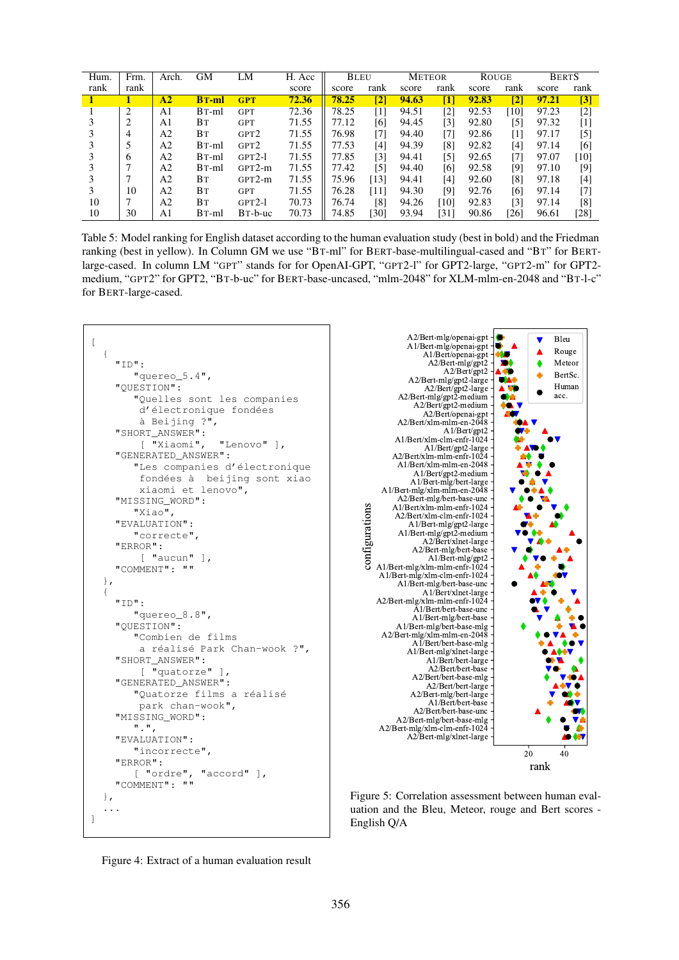<span id="page-7-1"></span>

| Hum. | Frm. | Arch. | GМ                 | LM               | H. Acc | <b>BLEU</b> |              | <b>METEOR</b> |      | ROUGE |      | <b>BERTS</b> |                   |
|------|------|-------|--------------------|------------------|--------|-------------|--------------|---------------|------|-------|------|--------------|-------------------|
| rank | rank |       |                    |                  | score  | score       | rank         | score         | rank | score | rank | score        | rank              |
|      |      | A2    | <b>BT-ml</b>       | <b>GPT</b>       | 72.36  | 78.25       | $\mathbf{2}$ | 94.63         | [1]  | 92.83 | [2]  | 97.21        | [3]               |
|      | 2    | A1    | $BT-ml$            | <b>GPT</b>       | 72.36  | 78.25       | [1]          | 94.51         | [2]  | 92.53 | [10] | 97.23        | $\lceil 2 \rceil$ |
|      |      | A1    | Bт                 | <b>GPT</b>       | 71.55  | 77.12       | [6]          | 94.45         | [3]  | 92.80 | [5]  | 97.32        |                   |
|      | 4    | A2    | Bт                 | GPT <sub>2</sub> | 71.55  | 76.98       | [7]          | 94.40         | [7]  | 92.86 | [1]  | 97.17        | $\lceil 5 \rceil$ |
|      |      | A2    | B <sub>T</sub> -ml | GPT <sub>2</sub> | 71.55  | 77.53       | [4]          | 94.39         | [8]  | 92.82 | [4]  | 97.14        | [6]               |
|      | 6    | A2    | B <sub>T</sub> -ml | $GPT2-I$         | 71.55  | 77.85       | [3]          | 94.41         | [5]  | 92.65 | [7]  | 97.07        | [10]              |
|      |      | A2    | B <sub>T</sub> -ml | $GPT2-m$         | 71.55  | 77.42       | [5]          | 94.40         | [6]  | 92.58 | [9]  | 97.10        | [9]               |
|      |      | A2    | Bт                 | $GPT2-m$         | 71.55  | 75.96       | [13]         | 94.41         | [4]  | 92.60 | [8]  | 97.18        | [4]               |
|      | 10   | A2    | Bт                 | <b>GPT</b>       | 71.55  | 76.28       | [11]         | 94.30         | [9]  | 92.76 | [6]  | 97.14        | $\lceil 7 \rceil$ |
| 10   |      | A2    | Bт                 | $GPT2-I$         | 70.73  | 76.74       | [8]          | 94.26         | [10] | 92.83 | [3]  | 97.14        | [8]               |
| 10   | 30   | A1    | B <sub>T</sub> -ml | $B$ T-b-uc       | 70.73  | 74.85       | [30]         | 93.94         | 311  | 90.86 | [26] | 96.61        | [28]              |

Table 5: Model ranking for English dataset according to the human evaluation study (best in bold) and the Friedman ranking (best in yellow). In Column GM we use "BT-ml" for BERT-base-multilingual-cased and "BT" for BERTlarge-cased. In column LM "GPT" stands for for OpenAI-GPT, "GPT2-l" for GPT2-large, "GPT2-m" for GPT2 medium, "GPT2" for GPT2, "BT-b-uc" for BERT-base-uncased, "mlm-2048" for XLM-mlm-en-2048 and "BT-l-c" for BERT-large-cased.

<span id="page-7-0"></span>

<span id="page-7-2"></span>

Figure 5: Correlation assessment between human evaluation and the Bleu, Meteor, rouge and Bert scores - English Q/A

Figure 4: Extract of a human evaluation result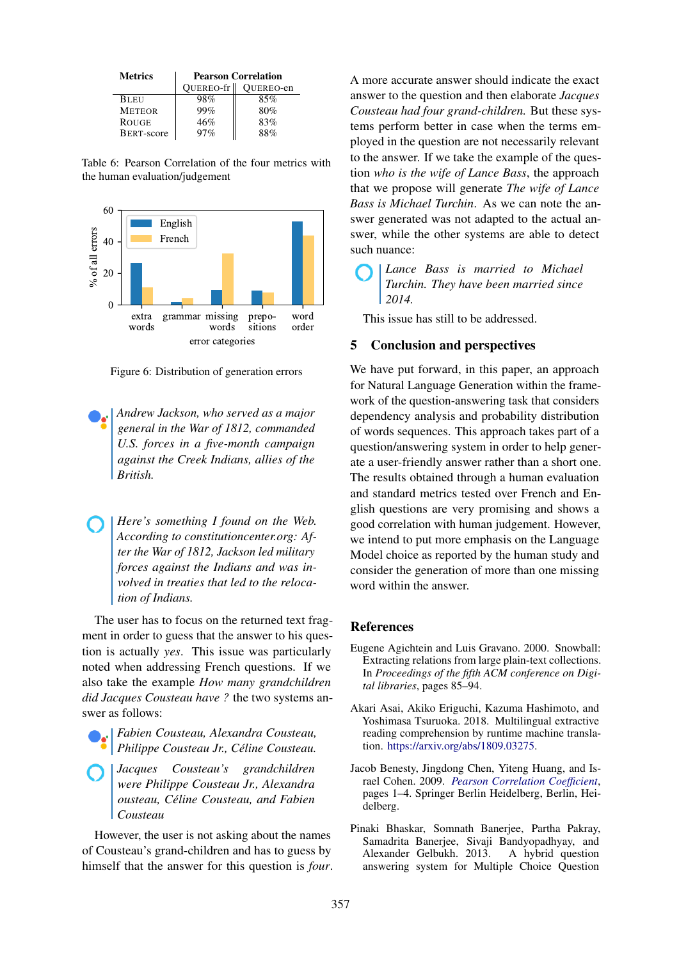<span id="page-8-3"></span>

| <b>Metrics</b>    | <b>Pearson Correlation</b> |           |  |  |  |  |  |  |
|-------------------|----------------------------|-----------|--|--|--|--|--|--|
|                   | QUEREO-fr                  | OUEREO-en |  |  |  |  |  |  |
| Bleu              | 98%                        | 85%       |  |  |  |  |  |  |
| <b>METEOR</b>     | 99%                        | 80%       |  |  |  |  |  |  |
| ROUGE             | 46%                        | 83%       |  |  |  |  |  |  |
| <b>BERT-score</b> | $97\%$                     | 88%       |  |  |  |  |  |  |

Table 6: Pearson Correlation of the four metrics with the human evaluation/judgement

<span id="page-8-5"></span>

Figure 6: Distribution of generation errors

- *Andrew Jackson, who served as a major general in the War of 1812, commanded U.S. forces in a five-month campaign against the Creek Indians, allies of the British.*
- *Here's something I found on the Web. According to constitutioncenter.org: After the War of 1812, Jackson led military forces against the Indians and was involved in treaties that led to the relocation of Indians.*

The user has to focus on the returned text fragment in order to guess that the answer to his question is actually *yes*. This issue was particularly noted when addressing French questions. If we also take the example *How many grandchildren did Jacques Cousteau have ?* the two systems answer as follows:

*Fabien Cousteau, Alexandra Cousteau, Philippe Cousteau Jr., Celine Cousteau. ´*

*Jacques Cousteau's grandchildren were Philippe Cousteau Jr., Alexandra ousteau, Celine Cousteau, and Fabien ´ Cousteau*

However, the user is not asking about the names of Cousteau's grand-children and has to guess by himself that the answer for this question is *four*. A more accurate answer should indicate the exact answer to the question and then elaborate *Jacques Cousteau had four grand-children.* But these systems perform better in case when the terms employed in the question are not necessarily relevant to the answer. If we take the example of the question *who is the wife of Lance Bass*, the approach that we propose will generate *The wife of Lance Bass is Michael Turchin*. As we can note the answer generated was not adapted to the actual answer, while the other systems are able to detect such nuance:

*Lance Bass is married to Michael Turchin. They have been married since 2014.*

This issue has still to be addressed.

# 5 Conclusion and perspectives

We have put forward, in this paper, an approach for Natural Language Generation within the framework of the question-answering task that considers dependency analysis and probability distribution of words sequences. This approach takes part of a question/answering system in order to help generate a user-friendly answer rather than a short one. The results obtained through a human evaluation and standard metrics tested over French and English questions are very promising and shows a good correlation with human judgement. However, we intend to put more emphasis on the Language Model choice as reported by the human study and consider the generation of more than one missing word within the answer.

#### **References**

- <span id="page-8-2"></span>Eugene Agichtein and Luis Gravano. 2000. Snowball: Extracting relations from large plain-text collections. In *Proceedings of the fifth ACM conference on Digital libraries*, pages 85–94.
- <span id="page-8-0"></span>Akari Asai, Akiko Eriguchi, Kazuma Hashimoto, and Yoshimasa Tsuruoka. 2018. Multilingual extractive reading comprehension by runtime machine translation. [https://arxiv.org/abs/1809.03275.](https://arxiv.org/abs/1809.03275)
- <span id="page-8-4"></span>Jacob Benesty, Jingdong Chen, Yiteng Huang, and Israel Cohen. 2009. *[Pearson Correlation Coefficient](https://doi.org/10.1007/978-3-642-00296-0_5)*, pages 1–4. Springer Berlin Heidelberg, Berlin, Heidelberg.
- <span id="page-8-1"></span>Pinaki Bhaskar, Somnath Banerjee, Partha Pakray, Samadrita Banerjee, Sivaji Bandyopadhyay, and Alexander Gelbukh. 2013. A hybrid question answering system for Multiple Choice Question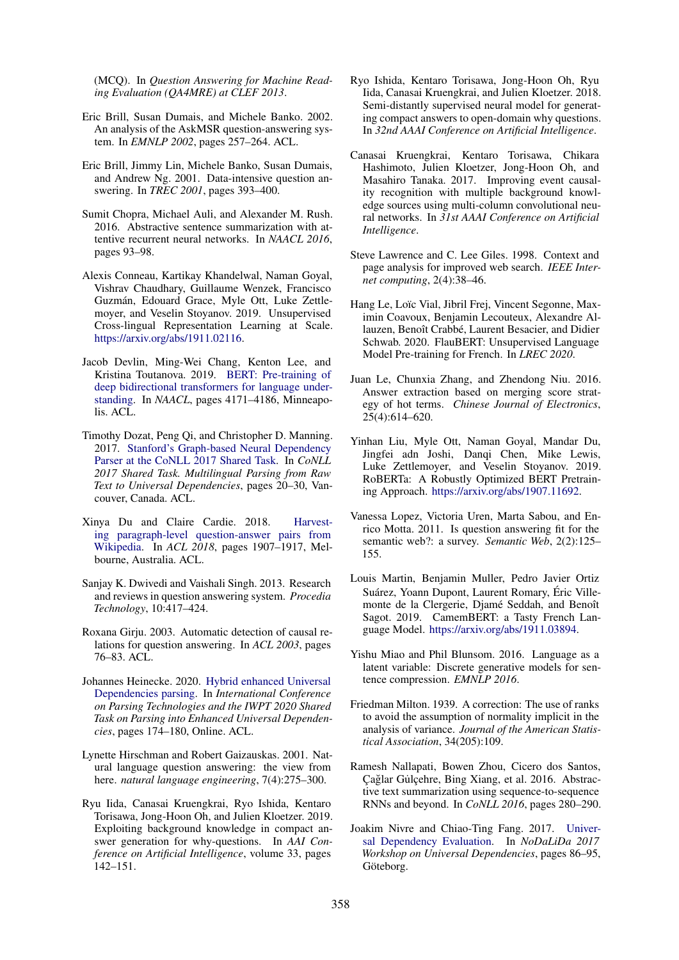(MCQ). In *Question Answering for Machine Reading Evaluation (QA4MRE) at CLEF 2013*.

- <span id="page-9-7"></span>Eric Brill, Susan Dumais, and Michele Banko. 2002. An analysis of the AskMSR question-answering system. In *EMNLP 2002*, pages 257–264. ACL.
- <span id="page-9-6"></span>Eric Brill, Jimmy Lin, Michele Banko, Susan Dumais, and Andrew Ng. 2001. Data-intensive question answering. In *TREC 2001*, pages 393–400.
- <span id="page-9-10"></span>Sumit Chopra, Michael Auli, and Alexander M. Rush. 2016. Abstractive sentence summarization with attentive recurrent neural networks. In *NAACL 2016*, pages 93–98.
- <span id="page-9-17"></span>Alexis Conneau, Kartikay Khandelwal, Naman Goyal, Vishrav Chaudhary, Guillaume Wenzek, Francisco Guzmán, Edouard Grace, Myle Ott, Luke Zettlemoyer, and Veselin Stoyanov. 2019. Unsupervised Cross-lingual Representation Learning at Scale. [https://arxiv.org/abs/1911.02116.](https://arxiv.org/abs/1911.02116)
- <span id="page-9-15"></span>Jacob Devlin, Ming-Wei Chang, Kenton Lee, and Kristina Toutanova. 2019. [BERT: Pre-training of](https://www.aclweb.org/anthology/N19-1423/) [deep bidirectional transformers for language under](https://www.aclweb.org/anthology/N19-1423/)[standing.](https://www.aclweb.org/anthology/N19-1423/) In *NAACL*, pages 4171–4186, Minneapolis. ACL.
- <span id="page-9-16"></span>Timothy Dozat, Peng Qi, and Christopher D. Manning. 2017. [Stanford's Graph-based Neural Dependency](https://www.aclweb.org/anthology/K17-3002.pdf) [Parser at the CoNLL 2017 Shared Task.](https://www.aclweb.org/anthology/K17-3002.pdf) In *CoNLL 2017 Shared Task. Multilingual Parsing from Raw Text to Universal Dependencies*, pages 20–30, Vancouver, Canada. ACL.
- <span id="page-9-4"></span>Xinya Du and Claire Cardie. 2018. [Harvest](https://doi.org/10.18653/v1/P18-1177)[ing paragraph-level question-answer pairs from](https://doi.org/10.18653/v1/P18-1177) [Wikipedia.](https://doi.org/10.18653/v1/P18-1177) In *ACL 2018*, pages 1907–1917, Melbourne, Australia. ACL.
- <span id="page-9-3"></span>Sanjay K. Dwivedi and Vaishali Singh. 2013. Research and reviews in question answering system. *Procedia Technology*, 10:417–424.
- <span id="page-9-14"></span>Roxana Girju. 2003. Automatic detection of causal relations for question answering. In *ACL 2003*, pages 76–83. ACL.
- <span id="page-9-22"></span>Johannes Heinecke. 2020. [Hybrid enhanced Universal](https://www.aclweb.org/anthology/2020.iwpt-1.18) [Dependencies parsing.](https://www.aclweb.org/anthology/2020.iwpt-1.18) In *International Conference on Parsing Technologies and the IWPT 2020 Shared Task on Parsing into Enhanced Universal Dependencies*, pages 174–180, Online. ACL.
- <span id="page-9-0"></span>Lynette Hirschman and Robert Gaizauskas. 2001. Natural language question answering: the view from here. *natural language engineering*, 7(4):275–300.
- <span id="page-9-2"></span>Ryu Iida, Canasai Kruengkrai, Ryo Ishida, Kentaro Torisawa, Jong-Hoon Oh, and Julien Kloetzer. 2019. Exploiting background knowledge in compact answer generation for why-questions. In *AAI Conference on Artificial Intelligence*, volume 33, pages 142–151.
- <span id="page-9-9"></span>Ryo Ishida, Kentaro Torisawa, Jong-Hoon Oh, Ryu Iida, Canasai Kruengkrai, and Julien Kloetzer. 2018. Semi-distantly supervised neural model for generating compact answers to open-domain why questions. In *32nd AAAI Conference on Artificial Intelligence*.
- <span id="page-9-13"></span>Canasai Kruengkrai, Kentaro Torisawa, Chikara Hashimoto, Julien Kloetzer, Jong-Hoon Oh, and Masahiro Tanaka. 2017. Improving event causality recognition with multiple background knowledge sources using multi-column convolutional neural networks. In *31st AAAI Conference on Artificial Intelligence*.
- <span id="page-9-8"></span>Steve Lawrence and C. Lee Giles. 1998. Context and page analysis for improved web search. *IEEE Internet computing*, 2(4):38–46.
- <span id="page-9-19"></span>Hang Le, Loïc Vial, Jibril Frej, Vincent Segonne, Maximin Coavoux, Benjamin Lecouteux, Alexandre Allauzen, Benoît Crabbé, Laurent Besacier, and Didier Schwab. 2020. FlauBERT: Unsupervised Language Model Pre-training for French. In *LREC 2020*.
- <span id="page-9-5"></span>Juan Le, Chunxia Zhang, and Zhendong Niu. 2016. Answer extraction based on merging score strategy of hot terms. *Chinese Journal of Electronics*, 25(4):614–620.
- <span id="page-9-18"></span>Yinhan Liu, Myle Ott, Naman Goyal, Mandar Du, Jingfei adn Joshi, Danqi Chen, Mike Lewis, Luke Zettlemoyer, and Veselin Stoyanov. 2019. RoBERTa: A Robustly Optimized BERT Pretraining Approach. [https://arxiv.org/abs/1907.11692.](https://arxiv.org/abs/1907.11692)
- <span id="page-9-1"></span>Vanessa Lopez, Victoria Uren, Marta Sabou, and Enrico Motta. 2011. Is question answering fit for the semantic web?: a survey. *Semantic Web*, 2(2):125– 155.
- <span id="page-9-20"></span>Louis Martin, Benjamin Muller, Pedro Javier Ortiz Suárez, Yoann Dupont, Laurent Romary, Éric Villemonte de la Clergerie, Djamé Seddah, and Benoît Sagot. 2019. CamemBERT: a Tasty French Language Model. [https://arxiv.org/abs/1911.03894.](https://arxiv.org/abs/1911.03894)
- <span id="page-9-12"></span>Yishu Miao and Phil Blunsom. 2016. Language as a latent variable: Discrete generative models for sentence compression. *EMNLP 2016*.
- <span id="page-9-23"></span>Friedman Milton. 1939. A correction: The use of ranks to avoid the assumption of normality implicit in the analysis of variance. *Journal of the American Statistical Association*, 34(205):109.
- <span id="page-9-11"></span>Ramesh Nallapati, Bowen Zhou, Cicero dos Santos, Çağlar Gülçehre, Bing Xiang, et al. 2016. Abstractive text summarization using sequence-to-sequence RNNs and beyond. In *CoNLL 2016*, pages 280–290.
- <span id="page-9-21"></span>Joakim Nivre and Chiao-Ting Fang. 2017. [Univer](http://www.aclweb.org/anthology/W/W17/W17-0411.pdf)[sal Dependency Evaluation.](http://www.aclweb.org/anthology/W/W17/W17-0411.pdf) In *NoDaLiDa 2017 Workshop on Universal Dependencies*, pages 86–95, Göteborg.